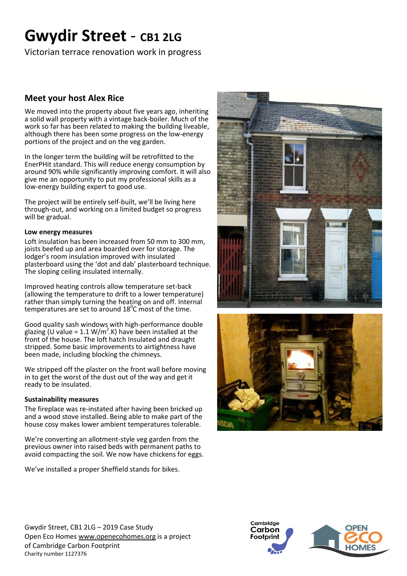# **Gwydir Street** - **CB1 2LG**

Victorian terrace renovation work in progress

## **Meet your host Alex Rice**

We moved into the property about five years ago, inheriting a solid wall property with a vintage back-boiler. Much of the work so far has been related to making the building liveable, although there has been some progress on the low-energy portions of the project and on the veg garden.

In the longer term the building will be retrofitted to the EnerPHit standard. This will reduce energy consumption by around 90% while significantly improving comfort. It will also give me an opportunity to put my professional skills as a low-energy building expert to good use.

The project will be entirely self-built, we'll be living here through-out, and working on a limited budget so progress will be gradual.

## **Low energy measures**

Loft insulation has been increased from 50 mm to 300 mm, joists beefed up and area boarded over for storage. The lodger's room insulation improved with insulated plasterboard using the 'dot and dab' plasterboard technique. The sloping ceiling insulated internally.

Improved heating controls allow temperature set-back (allowing the temperature to drift to a lower temperature) rather than simply turning the heating on and off. Internal temperatures are set to around  $18^{\circ}$ C most of the time.

Good quality sash windows with high-performance double glazing (U value = 1.1 W/m<sup>2</sup>.K) have been installed at the front of the house. The loft hatch Insulated and draught stripped. Some basic improvements to airtightness have been made, including blocking the chimneys.

We stripped off the plaster on the front wall before moving in to get the worst of the dust out of the way and get it ready to be insulated.

## **Sustainability measures**

The fireplace was re-instated after having been bricked up and a wood stove installed. Being able to make part of the house cosy makes lower ambient temperatures tolerable.

We're converting an allotment-style veg garden from the previous owner into raised beds with permanent paths to avoid compacting the soil. We now have chickens for eggs.

We've installed a proper Sheffield stands for bikes.